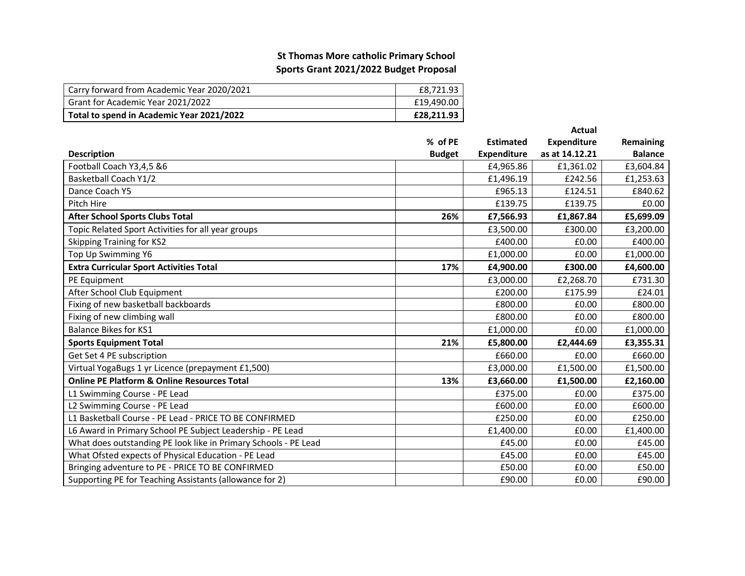## **St Thomas More catholic Primary SchoolSports Grant 2021/2022 Budget Proposal**

| Carry forward from Academic Year 2020/2021 | £8.721.93  |
|--------------------------------------------|------------|
| Grant for Academic Year 2021/2022          | £19.490.00 |
| Total to spend in Academic Year 2021/2022  | £28.211.93 |

|                                                                 |               |                    | Actual             |                |
|-----------------------------------------------------------------|---------------|--------------------|--------------------|----------------|
|                                                                 | % of PE       | <b>Estimated</b>   | <b>Expenditure</b> | Remaining      |
| <b>Description</b>                                              | <b>Budget</b> | <b>Expenditure</b> | as at 14.12.21     | <b>Balance</b> |
| Football Coach Y3,4,5 &6                                        |               | £4,965.86          | £1,361.02          | £3,604.84      |
| <b>Basketball Coach Y1/2</b>                                    |               | £1,496.19          | £242.56            | £1,253.63      |
| Dance Coach Y5                                                  |               | £965.13            | £124.51            | £840.62        |
| Pitch Hire                                                      |               | £139.75            | £139.75            | £0.00          |
| <b>After School Sports Clubs Total</b>                          | 26%           | £7,566.93          | £1,867.84          | £5,699.09      |
| Topic Related Sport Activities for all year groups              |               | £3,500.00          | £300.00            | £3,200.00      |
| <b>Skipping Training for KS2</b>                                |               | £400.00            | £0.00              | £400.00        |
| Top Up Swimming Y6                                              |               | £1,000.00          | £0.00              | £1,000.00      |
| <b>Extra Curricular Sport Activities Total</b>                  | 17%           | £4,900.00          | £300.00            | £4,600.00      |
| PE Equipment                                                    |               | £3,000.00          | £2,268.70          | £731.30        |
| After School Club Equipment                                     |               | £200.00            | £175.99            | £24.01         |
| Fixing of new basketball backboards                             |               | £800.00            | £0.00              | £800.00        |
| Fixing of new climbing wall                                     |               | £800.00            | £0.00              | £800.00        |
| <b>Balance Bikes for KS1</b>                                    |               | £1,000.00          | £0.00              | £1,000.00      |
| <b>Sports Equipment Total</b>                                   | 21%           | £5,800.00          | £2,444.69          | £3,355.31      |
| Get Set 4 PE subscription                                       |               | £660.00            | £0.00              | £660.00        |
| Virtual YogaBugs 1 yr Licence (prepayment £1,500)               |               | £3,000.00          | £1,500.00          | £1,500.00      |
| <b>Online PE Platform &amp; Online Resources Total</b>          | 13%           | £3,660.00          | £1,500.00          | £2,160.00      |
| L1 Swimming Course - PE Lead                                    |               | £375.00            | £0.00              | £375.00        |
| L2 Swimming Course - PE Lead                                    |               | £600.00            | £0.00              | £600.00        |
| L1 Basketball Course - PE Lead - PRICE TO BE CONFIRMED          |               | £250.00            | £0.00              | £250.00        |
| L6 Award in Primary School PE Subject Leadership - PE Lead      |               | £1,400.00          | £0.00              | £1,400.00      |
| What does outstanding PE look like in Primary Schools - PE Lead |               | £45.00             | £0.00              | £45.00         |
| What Ofsted expects of Physical Education - PE Lead             |               | £45.00             | £0.00              | £45.00         |
| Bringing adventure to PE - PRICE TO BE CONFIRMED                |               | £50.00             | £0.00              | £50.00         |
| Supporting PE for Teaching Assistants (allowance for 2)         |               | £90.00             | £0.00              | £90.00         |